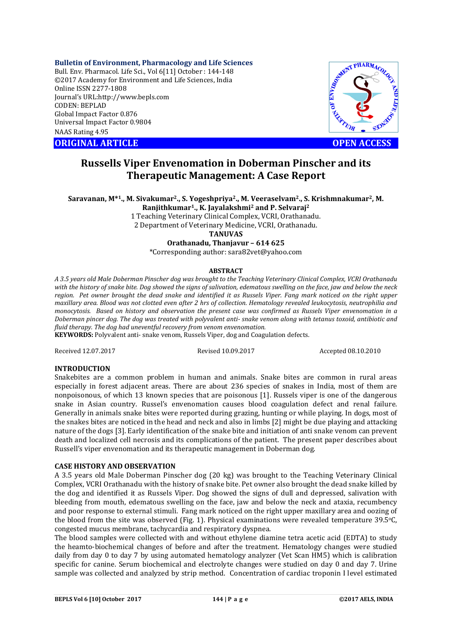#### **Bulletin of Environment, Pharmacology and Life Sciences**

Bull. Env. Pharmacol. Life Sci., Vol 6[11] October : 144-148 ©2017 Academy for Environment and Life Sciences, India Online ISSN 2277-1808 Journal's URL:http://www.bepls.com CODEN: BEPLAD Global Impact Factor 0.876 Universal Impact Factor 0.9804 NAAS Rating 4.95

**ORIGINAL ARTICLE OPEN ACCESS** 



# **Russells Viper Envenomation in Doberman Pinscher and its Therapeutic Management: A Case Report**

**Saravanan, M\*1., M. Sivakumar2., S. Yogeshpriya2., M. Veeraselvam2., S. Krishmnakumar2, M.** 

**Ranjithkumar1., K. Jayalakshmi2 and P. Selvaraj2**

1 Teaching Veterinary Clinical Complex, VCRI, Orathanadu. 2 Department of Veterinary Medicine, VCRI, Orathanadu.

**TANUVAS**

## **Orathanadu, Thanjavur – 614 625**

\*Corresponding author: sara82vet@yahoo.com

#### **ABSTRACT**

*A 3.5 years old Male Doberman Pinscher dog was brought to the Teaching Veterinary Clinical Complex, VCRI Orathanadu with the history of snake bite. Dog showed the signs of salivation, edematous swelling on the face, jaw and below the neck region. Pet owner brought the dead snake and identified it as Russels Viper. Fang mark noticed on the right upper maxillary area. Blood was not clotted even after 2 hrs of collection. Hematology revealed leukocytosis, neutrophilia and monocytosis. Based on history and observation the present case was confirmed as Russels Viper envenomation in a Doberman pincer dog. The dog was treated with polyvalent anti- snake venom along with tetanus toxoid, antibiotic and fluid therapy. The dog had uneventful recovery from venom envenomation.* 

**KEYWORDS:** Polyvalent anti- snake venom, Russels Viper, dog and Coagulation defects.

Received 12.07.2017 Revised 10.09.2017 Accepted 08.10.2010

#### **INTRODUCTION**

Snakebites are a common problem in human and animals. Snake bites are common in rural areas especially in forest adjacent areas. There are about 236 species of snakes in India, most of them are nonpoisonous, of which 13 known species that are poisonous [1]. Russels viper is one of the dangerous snake in Asian country. Russel's envenomation causes blood coagulation defect and renal failure. Generally in animals snake bites were reported during grazing, hunting or while playing. In dogs, most of the snakes bites are noticed in the head and neck and also in limbs [2] might be due playing and attacking nature of the dogs [3]. Early identification of the snake bite and initiation of anti snake venom can prevent death and localized cell necrosis and its complications of the patient. The present paper describes about Russell's viper envenomation and its therapeutic management in Doberman dog.

#### **CASE HISTORY AND OBSERVATION**

A 3.5 years old Male Doberman Pinscher dog (20 kg) was brought to the Teaching Veterinary Clinical Complex, VCRI Orathanadu with the history of snake bite. Pet owner also brought the dead snake killed by the dog and identified it as Russels Viper. Dog showed the signs of dull and depressed, salivation with bleeding from mouth, edematous swelling on the face, jaw and below the neck and ataxia, recumbency and poor response to external stimuli. Fang mark noticed on the right upper maxillary area and oozing of the blood from the site was observed (Fig. 1). Physical examinations were revealed temperature 39.5oC, congested mucus membrane, tachycardia and respiratory dyspnea.

The blood samples were collected with and without ethylene diamine tetra acetic acid (EDTA) to study the heamto-biochemical changes of before and after the treatment. Hematology changes were studied daily from day 0 to day 7 by using automated hematology analyzer (Vet Scan HM5) which is calibration specific for canine. Serum biochemical and electrolyte changes were studied on day 0 and day 7. Urine sample was collected and analyzed by strip method. Concentration of cardiac troponin I level estimated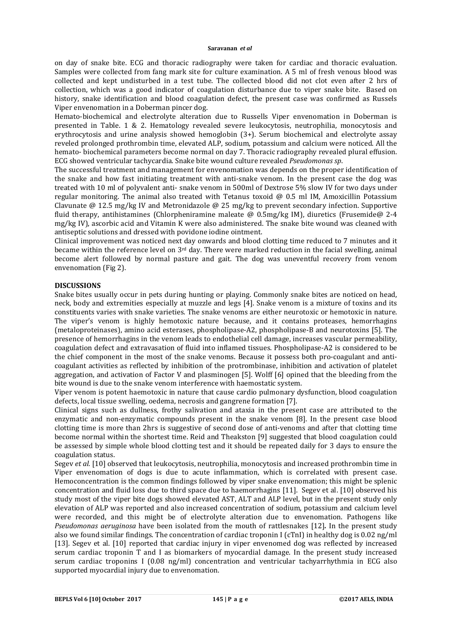on day of snake bite. ECG and thoracic radiography were taken for cardiac and thoracic evaluation. Samples were collected from fang mark site for culture examination. A 5 ml of fresh venous blood was collected and kept undisturbed in a test tube. The collected blood did not clot even after 2 hrs of collection, which was a good indicator of coagulation disturbance due to viper snake bite. Based on history, snake identification and blood coagulation defect, the present case was confirmed as Russels Viper envenomation in a Doberman pincer dog.

Hemato-biochemical and electrolyte alteration due to Russells Viper envenomation in Doberman is presented in Table. 1 & 2. Hematology revealed severe leukocytosis, neutrophilia, monocytosis and erythrocytosis and urine analysis showed hemoglobin (3+). Serum biochemical and electrolyte assay reveled prolonged prothrombin time, elevated ALP, sodium, potassium and calcium were noticed. All the hemato- biochemical parameters become normal on day 7. Thoracic radiography revealed plural effusion. ECG showed ventricular tachycardia. Snake bite wound culture revealed *Pseudomonas sp*.

The successful treatment and management for envenomation was depends on the proper identification of the snake and how fast initiating treatment with anti-snake venom. In the present case the dog was treated with 10 ml of polyvalent anti- snake venom in 500ml of Dextrose 5% slow IV for two days under regular monitoring. The animal also treated with Tetanus toxoid  $\omega$  0.5 ml IM. Amoxicillin Potassium Clavunate @ 12.5 mg/kg IV and Metronidazole @ 25 mg/kg to prevent secondary infection. Supportive fluid therapy, antihistamines (Chlorpheniramine maleate @ 0.5mg/kg IM), diuretics (Frusemide@ 2-4 mg/kg IV), ascorbic acid and Vitamin K were also administered. The snake bite wound was cleaned with antiseptic solutions and dressed with povidone iodine ointment.

Clinical improvement was noticed next day onwards and blood clotting time reduced to 7 minutes and it became within the reference level on  $3rd$  day. There were marked reduction in the facial swelling, animal become alert followed by normal pasture and gait. The dog was uneventful recovery from venom envenomation (Fig 2).

### **DISCUSSIONS**

Snake bites usually occur in pets during hunting or playing. Commonly snake bites are noticed on head, neck, body and extremities especially at muzzle and legs [4]. Snake venom is a mixture of toxins and its constituents varies with snake varieties. The snake venoms are either neurotoxic or hemotoxic in nature. The viper's venom is highly hemotoxic nature because, and it contains proteases, hemorrhagins (metaloproteinases), amino acid esterases, phospholipase-A2, phospholipase-B and neurotoxins [5]. The presence of hemorrhagins in the venom leads to endothelial cell damage, increases vascular permeability, coagulation defect and extravasation of fluid into inflamed tissues. Phospholipase-A2 is considered to be the chief component in the most of the snake venoms. Because it possess both pro-coagulant and anticoagulant activities as reflected by inhibition of the protrombinase, inhibition and activation of platelet aggregation, and activation of Factor V and plasminogen [5]. Wolff [6] opined that the bleeding from the bite wound is due to the snake venom interference with haemostatic system.

Viper venom is potent haemotoxic in nature that cause cardio pulmonary dysfunction, blood coagulation defects, local tissue swelling, oedema, necrosis and gangrene formation [7].

Clinical signs such as dullness, frothy salivation and ataxia in the present case are attributed to the enzymatic and non-enzymatic compounds present in the snake venom [8]. In the present case blood clotting time is more than 2hrs is suggestive of second dose of anti-venoms and after that clotting time become normal within the shortest time. Reid and Theakston [9] suggested that blood coagulation could be assessed by simple whole blood clotting test and it should be repeated daily for 3 days to ensure the coagulation status.

Segev *et al.* [10] observed that leukocytosis, neutrophilia, monocytosis and increased prothrombin time in Viper envenomation of dogs is due to acute inflammation, which is correlated with present case. Hemoconcentration is the common findings followed by viper snake envenomation; this might be splenic concentration and fluid loss due to third space due to haemorrhagins [11]. Segev et al. [10] observed his study most of the viper bite dogs showed elevated AST, ALT and ALP level, but in the present study only elevation of ALP was reported and also increased concentration of sodium, potassium and calcium level were recorded, and this might be of electrolyte alteration due to envenomation. Pathogens like *Pseudomonas aeruginosa* have been isolated from the mouth of rattlesnakes [12]*.* In the present study also we found similar findings. The concentration of cardiac troponin I (cTnI) in healthy dog is 0.02 ng/ml [13]. Segev et al. [10] reported that cardiac injury in viper envenomed dog was reflected by increased serum cardiac troponin T and I as biomarkers of myocardial damage. In the present study increased serum cardiac troponins I (0.08 ng/ml) concentration and ventricular tachyarrhythmia in ECG also supported myocardial injury due to envenomation.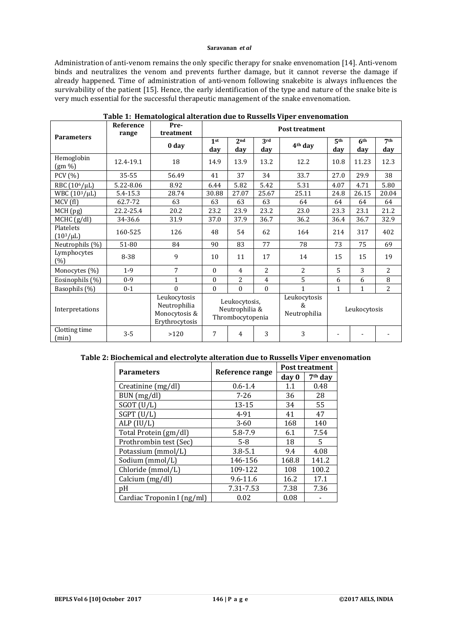#### **Saravanan** *et al*

Administration of anti-venom remains the only specific therapy for snake envenomation [14]. Anti-venom binds and neutralizes the venom and prevents further damage, but it cannot reverse the damage if already happened. Time of administration of anti-venom following snakebite is always influences the survivability of the patient [15]. Hence, the early identification of the type and nature of the snake bite is very much essential for the successful therapeutic management of the snake envenomation.

| <b>Parameters</b>             | <b>Reference</b><br>range | Pre-<br>treatment                                               | <b>Post treatment</b>                                                                                                |                        |                |                     |                        |                        |                        |
|-------------------------------|---------------------------|-----------------------------------------------------------------|----------------------------------------------------------------------------------------------------------------------|------------------------|----------------|---------------------|------------------------|------------------------|------------------------|
|                               |                           | 0 day                                                           | 1 <sup>st</sup><br>day                                                                                               | 2 <sub>nd</sub><br>day | 3rd<br>day     | 4 <sup>th</sup> day | 5 <sup>th</sup><br>day | 6 <sup>th</sup><br>day | 7 <sup>th</sup><br>day |
| Hemoglobin<br>$(gm\% )$       | 12.4-19.1                 | 18                                                              | 14.9                                                                                                                 | 13.9                   | 13.2           | 12.2                | 10.8                   | 11.23                  | 12.3                   |
| <b>PCV</b> (%)                | 35-55                     | 56.49                                                           | 41                                                                                                                   | 37                     | 34             | 33.7                | 27.0                   | 29.9                   | 38                     |
| RBC (10 <sup>6</sup> /µL)     | 5.22-8.06                 | 8.92                                                            | 6.44                                                                                                                 | 5.82                   | 5.42           | 5.31                | 4.07                   | 4.71                   | 5.80                   |
| WBC (10 <sup>3</sup> /µL)     | 5.4-15.3                  | 28.74                                                           | 30.88                                                                                                                | 27.07                  | 25.67          | 25.11               | 24.8                   | 26.15                  | 20.04                  |
| MCV(f)                        | 62.7-72                   | 63                                                              | 63                                                                                                                   | 63                     | 63             | 64                  | 64                     | 64                     | 64                     |
| MCH (pg)                      | 22.2-25.4                 | 20.2                                                            | 23.2                                                                                                                 | 23.9                   | 23.2           | 23.0                | 23.3                   | 23.1                   | 21.2                   |
| MCHC (g/dl)                   | 34-36.6                   | 31.9                                                            | 37.0                                                                                                                 | 37.9                   | 36.7           | 36.2                | 36.4                   | 36.7                   | 32.9                   |
| Platelets<br>$(10^{3}/\mu L)$ | 160-525                   | 126                                                             | 48                                                                                                                   | 54                     | 62             | 164                 | 214                    | 317                    | 402                    |
| Neutrophils (%)               | 51-80                     | 84                                                              | 90                                                                                                                   | 83                     | 77             | 78                  | 73                     | 75                     | 69                     |
| Lymphocytes<br>(%)            | 8-38                      | 9                                                               | 10                                                                                                                   | 11                     | 17             | 14                  | 15                     | 15                     | 19                     |
| Monocytes (%)                 | $1-9$                     | 7                                                               | $\Omega$                                                                                                             | $\overline{4}$         | $\overline{2}$ | $\overline{2}$      | 5                      | 3                      | 2                      |
| Eosinophils (%)               | $0 - 9$                   | $\mathbf{1}$                                                    | $\Omega$                                                                                                             | 2                      | $\overline{4}$ | 5                   | 6                      | 6                      | 8                      |
| Basophils (%)                 | $0 - 1$                   | $\Omega$                                                        | $\Omega$                                                                                                             | $\Omega$               | $\Omega$       | $\mathbf{1}$        | $\mathbf{1}$           | $\mathbf{1}$           | 2                      |
| Interpretations               |                           | Leukocytosis<br>Neutrophilia<br>Monocytosis &<br>Erythrocytosis | Leukocytosis<br>Leukocytosis,<br>$\mathcal{R}$<br>Neutrophilia &<br>Leukocytosis<br>Neutrophilia<br>Thrombocytopenia |                        |                |                     |                        |                        |                        |
| Clotting time<br>(min)        | $3 - 5$                   | >120                                                            | 7                                                                                                                    | 4                      | 3              | 3                   |                        |                        |                        |

#### **Table 1: Hematological alteration due to Russells Viper envenomation**

# **Table 2: Biochemical and electrolyte alteration due to Russells Viper envenomation**

| <b>Parameters</b>          | Reference range | <b>Post treatment</b>        |       |  |
|----------------------------|-----------------|------------------------------|-------|--|
|                            |                 | 7 <sup>th</sup> day<br>day 0 |       |  |
| Creatinine (mg/dl)         | $0.6 - 1.4$     | 1.1                          | 0.48  |  |
| BUN (mg/dl)                | $7 - 26$        | 36                           | 28    |  |
| $SGOT$ (U/L)               | $13 - 15$       | 34                           | 55    |  |
| $SGPT$ (U/L)               | 4-91            | 41                           | 47    |  |
| ALP (IU/L)                 | $3 - 60$        | 168                          | 140   |  |
| Total Protein (gm/dl)      | 5.8-7.9         | 6.1                          | 7.54  |  |
| Prothrombin test (Sec)     | $5-8$           | 18                           | 5.    |  |
| Potassium (mmol/L)         | $3.8 - 5.1$     | 9.4                          | 4.08  |  |
| Sodium (mmol/L)            | 146-156         | 168.8                        | 141.2 |  |
| Chloride (mmol/L)          | 109-122         | 108                          | 100.2 |  |
| Calcium (mg/dl)            | $9.6 - 11.6$    | 16.2                         | 17.1  |  |
| pΗ                         | 7.31-7.53       | 7.38                         | 7.36  |  |
| Cardiac Troponin I (ng/ml) | 0.02            | 0.08                         |       |  |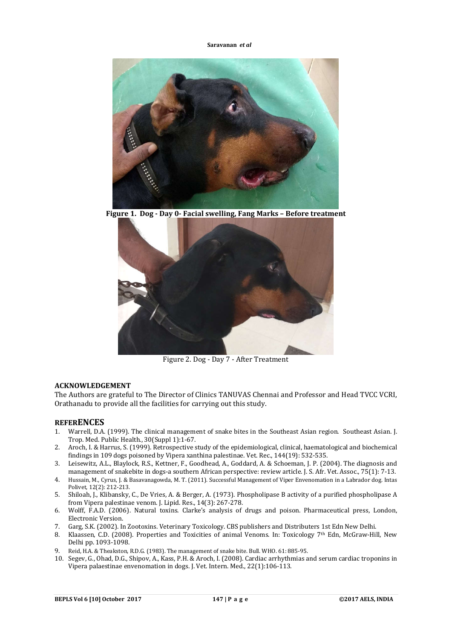**Saravanan** *et al*



**Figure 1. Dog - Day 0- Facial swelling, Fang Marks – Before treatment**



Figure 2. Dog - Day 7 - After Treatment

#### **ACKNOWLEDGEMENT**

The Authors are grateful to The Director of Clinics TANUVAS Chennai and Professor and Head TVCC VCRI, Orathanadu to provide all the facilities for carrying out this study.

#### **REFERENCES**

- 1. Warrell, D.A. (1999). The clinical management of snake bites in the Southeast Asian region. Southeast Asian. J. Trop. Med. Public Health., 30(Suppl 1):1-67.
- 2. Aroch, I. & Harrus, S. (1999). Retrospective study of the epidemiological, clinical, haematological and biochemical findings in 109 dogs poisoned by Vipera xanthina palestinae. Vet. Rec., 144(19): 532-535.
- 3. Leisewitz, A.L., Blaylock, R.S., Kettner, F., Goodhead, A., Goddard, A. & Schoeman, J. P. (2004). The diagnosis and management of snakebite in dogs-a southern African perspective: review article. J. S. Afr. Vet. Assoc., 75(1): 7-13.
- 4. Hussain, M., Cyrus, J. & Basavanagowda, M. T. (2011). Successful Management of Viper Envenomation in a Labrador dog. Intas Polivet, 12(2): 212-213.
- 5. Shiloah, J., Klibansky, C., De Vries, A. & Berger, A. (1973). Phospholipase B activity of a purified phospholipase A from Vipera palestinae venom. J. Lipid. Res., 14(3): 267-278.
- 6. Wolff, F.A.D. (2006). Natural toxins. Clarke's analysis of drugs and poison. Pharmaceutical press, London, Electronic Version.
- 7. Garg, S.K. (2002). In Zootoxins. Veterinary Toxicology. CBS publishers and Distributers 1st Edn New Delhi.
- 8. Klaassen, C.D. (2008). Properties and Toxicities of animal Venoms. In: Toxicology 7th Edn, McGraw-Hill, New Delhi pp. 1093-1098.
- 9. Reid, H.A. & Theakston, R.D.G. (1983). The management of snake bite. Bull. WHO. 61: 885-95.
- 10. Segev, G., Ohad, D.G., Shipov, A., Kass, P.H. & Aroch, I. (2008). Cardiac arrhythmias and serum cardiac troponins in Vipera palaestinae envenomation in dogs. J. Vet. Intern. Med., 22(1):106-113.